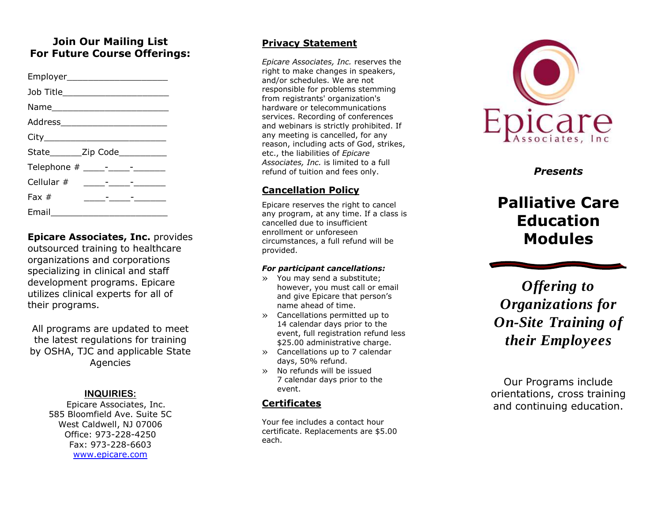# **Join Our Mailing List For Future Course Offerings:**

| Job Title_________________________ |                                                                                                                        |  |  |
|------------------------------------|------------------------------------------------------------------------------------------------------------------------|--|--|
|                                    |                                                                                                                        |  |  |
|                                    |                                                                                                                        |  |  |
|                                    |                                                                                                                        |  |  |
| State________Zip Code___________   |                                                                                                                        |  |  |
|                                    |                                                                                                                        |  |  |
|                                    |                                                                                                                        |  |  |
| Fax $#$                            | <u> 1989 - Alexandr Alexandr Alexandr Alexandr Alexandr Alexandr Alexandr Alexandr Alexandr Alexandr Alexandr Alex</u> |  |  |
| Email $\_\_$                       |                                                                                                                        |  |  |

**Epicare Associates, Inc.** provides outsourced training to healthcare organizations and corporations specializing in clinical and staff development programs. Epicare utilizes clinical experts for all of their programs.

All programs are updated to meet the latest regulations for training by OSHA, TJC and applicable State Agencies

#### **INQUIRIES :**

Epicare Associates, Inc. 585 Bloomfield Ave. Suite 5C West Caldwell, NJ 07006 Office: 973 -228 -4250 Fax: 973 -228 -6603 [www.epicare.com](http://www.epicare.com/)

#### **Privacy Statement**

*Epicare Associates, Inc.* reserves the right to make changes in speakers, and/or schedules. We are not responsible for problems stemming from registrants' organization's hardware or telecommunications services. Recording of conferences and webinars is strictly prohibited. If any meeting is cancelled, for any reason, including acts of God, strikes, etc., the liabilities of *Epicare Associates, Inc.* is limited to a full refund of tuition and fees only.

## **Cancellation Policy**

Epicare reserves the right to cancel any program, at any time. If a class is cancelled due to insufficient enrollment or unforeseen circumstances, a full refund will be provided.

#### *For participant cancellations:*

- » You may send a substitute; however, you must call or email and give Epicare that person's name ahead of time.
- » Cancellations permitted up to 14 calendar days prior to the event, full registration refund less \$25.00 administrative charge.
- » Cancellations up to 7 calendar days, 50% refund.
- » No refunds will be issued 7 calendar days prior to the event.

# **Certificates**

Your fee includes a contact hour certificate. Replacements are \$5.00 each.



*Presents*

# **Palliative Care Education Modules**

*Offering to Organizations for On -Site Training of their Employees*

Our Programs include orientation s, cross training and continuing education.